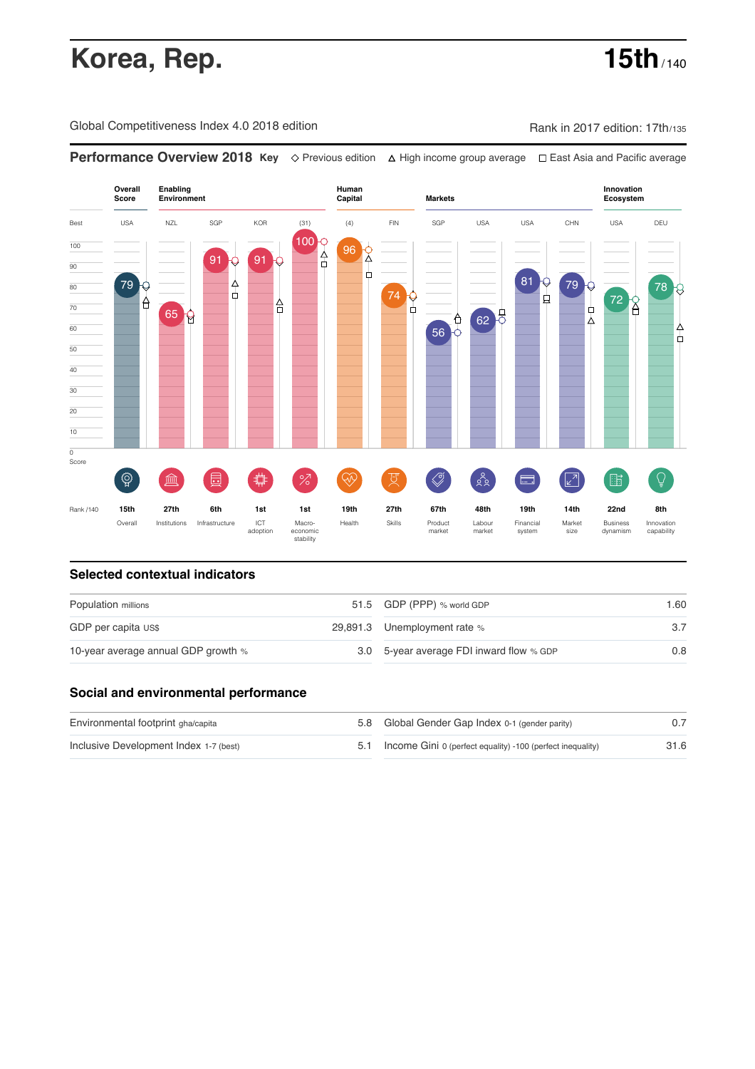# **Korea, Rep. 15th** / 140

Global Competitiveness Index 4.0 2018 edition Company Rank in 2017 edition: 17th/135

**Performance Overview 2018 Key** Previous edition High income group average East Asia and Pacific average



### **Selected contextual indicators**

| Population millions                 |  | 51.5 GDP (PPP) % world GDP               | 1.60 |  |
|-------------------------------------|--|------------------------------------------|------|--|
| GDP per capita US\$                 |  | 29,891.3 Unemployment rate %             |      |  |
| 10-year average annual GDP growth % |  | 3.0 5-year average FDI inward flow % GDP | 0.8  |  |

### **Social and environmental performance**

| Environmental footprint gha/capita     |  | 5.8 Global Gender Gap Index 0-1 (gender parity)                |      |
|----------------------------------------|--|----------------------------------------------------------------|------|
| Inclusive Development Index 1-7 (best) |  | 5.1 Income Gini 0 (perfect equality) -100 (perfect inequality) | 31.6 |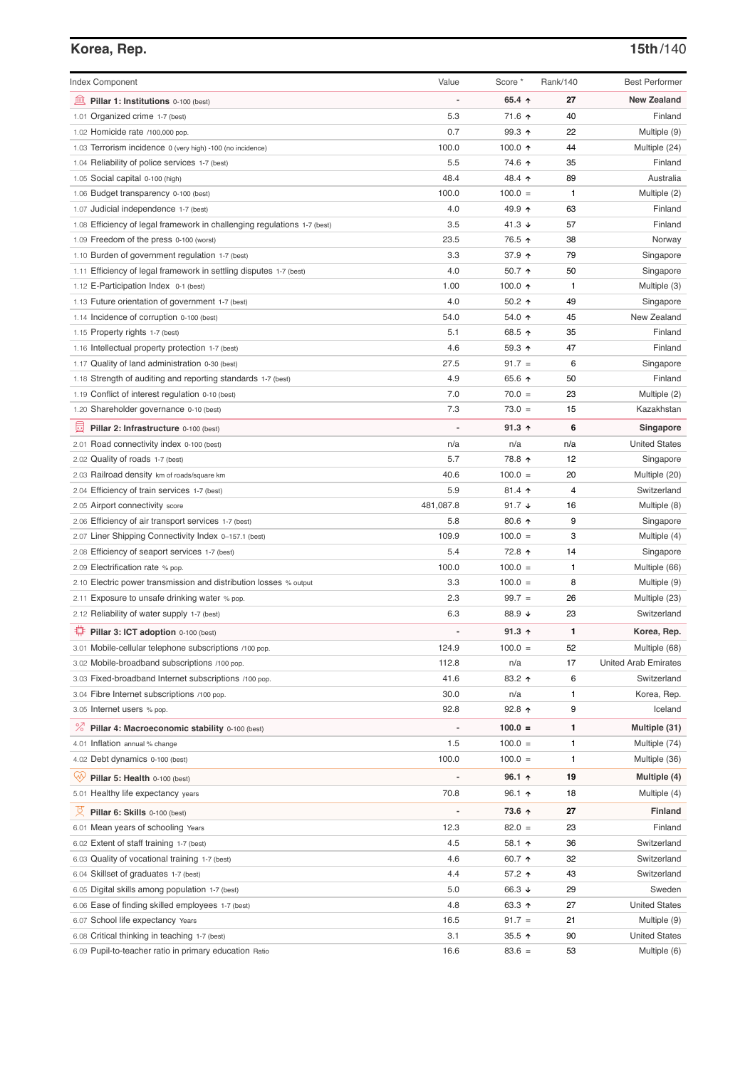# **Korea, Rep. 15th**/140

| <b>Index Component</b>                                                   | Value          | Score *          | Rank/140 | <b>Best Performer</b>       |
|--------------------------------------------------------------------------|----------------|------------------|----------|-----------------------------|
| Pillar 1: Institutions 0-100 (best)                                      |                | 65.4 $\uparrow$  | 27       | <b>New Zealand</b>          |
| 1.01 Organized crime 1-7 (best)                                          | 5.3            | 71.6 ↑           | 40       | Finland                     |
| 1.02 Homicide rate /100,000 pop.                                         | 0.7            | 99.3 ↑           | 22       | Multiple (9)                |
| 1.03 Terrorism incidence 0 (very high) -100 (no incidence)               | 100.0          | 100.0 $\uparrow$ | 44       | Multiple (24)               |
| 1.04 Reliability of police services 1-7 (best)                           | 5.5            | 74.6 ↑           | 35       | Finland                     |
| 1.05 Social capital 0-100 (high)                                         | 48.4           | 48.4 ↑           | 89       | Australia                   |
| 1.06 Budget transparency 0-100 (best)                                    | 100.0          | $100.0 =$        | 1        | Multiple (2)                |
| 1.07 Judicial independence 1-7 (best)                                    | 4.0            | 49.9 ↑           | 63       | Finland                     |
| 1.08 Efficiency of legal framework in challenging regulations 1-7 (best) | 3.5            | 41.3 $\sqrt{ }$  | 57       | Finland                     |
| 1.09 Freedom of the press 0-100 (worst)                                  | 23.5           | 76.5 ↑           | 38       | Norway                      |
| 1.10 Burden of government regulation 1-7 (best)                          | 3.3            | 37.9 ↑           | 79       | Singapore                   |
| 1.11 Efficiency of legal framework in settling disputes 1-7 (best)       | 4.0            | 50.7 $\uparrow$  | 50       | Singapore                   |
| 1.12 E-Participation Index 0-1 (best)                                    | 1.00           | 100.0 $\uparrow$ | 1        | Multiple (3)                |
| 1.13 Future orientation of government 1-7 (best)                         | 4.0            | $50.2$ ↑         | 49       | Singapore                   |
| 1.14 Incidence of corruption 0-100 (best)                                | 54.0           | 54.0 ↑           | 45       | New Zealand                 |
| 1.15 Property rights 1-7 (best)                                          | 5.1            | 68.5 个           | 35       | Finland                     |
| 1.16 Intellectual property protection 1-7 (best)                         | 4.6            | 59.3 ↑           | 47       | Finland                     |
| 1.17 Quality of land administration 0-30 (best)                          | 27.5           | $91.7 =$         | 6        | Singapore                   |
| 1.18 Strength of auditing and reporting standards 1-7 (best)             | 4.9            | 65.6 ↑           | 50       | Finland                     |
|                                                                          | 7.0            |                  |          |                             |
| 1.19 Conflict of interest regulation 0-10 (best)                         | 7.3            | $70.0 =$         | 23       | Multiple (2)                |
| 1.20 Shareholder governance 0-10 (best)                                  |                | $73.0 =$         | 15       | Kazakhstan                  |
| 曼<br>Pillar 2: Infrastructure 0-100 (best)                               |                | $91.3$ ↑         | 6        | Singapore                   |
| 2.01 Road connectivity index 0-100 (best)                                | n/a            | n/a              | n/a      | <b>United States</b>        |
| 2.02 Quality of roads 1-7 (best)                                         | 5.7            | 78.8 个           | 12       | Singapore                   |
| 2.03 Railroad density km of roads/square km                              | 40.6           | $100.0 =$        | 20       | Multiple (20)               |
| 2.04 Efficiency of train services 1-7 (best)                             | 5.9            | $81.4$ ↑         | 4        | Switzerland                 |
| 2.05 Airport connectivity score                                          | 481,087.8      | 91.7 $\sqrt{ }$  | 16       | Multiple (8)                |
| 2.06 Efficiency of air transport services 1-7 (best)                     | 5.8            | $80.6$ ↑         | 9        | Singapore                   |
| 2.07 Liner Shipping Connectivity Index 0-157.1 (best)                    | 109.9          | $100.0 =$        | 3        | Multiple (4)                |
| 2.08 Efficiency of seaport services 1-7 (best)                           | 5.4            | 72.8 ↑           | 14       | Singapore                   |
| 2.09 Electrification rate % pop.                                         | 100.0          | $100.0 =$        | 1        | Multiple (66)               |
| 2.10 Electric power transmission and distribution losses % output        | 3.3            | $100.0 =$        | 8        | Multiple (9)                |
| 2.11 Exposure to unsafe drinking water % pop.                            | 2.3            | $99.7 =$         | 26       | Multiple (23)               |
| 2.12 Reliability of water supply 1-7 (best)                              | 6.3            | 88.9 ↓           | 23       | Switzerland                 |
| ₩<br>Pillar 3: ICT adoption 0-100 (best)                                 | $\overline{a}$ | $91.3 \text{ A}$ | 1        | Korea, Rep.                 |
| 3.01 Mobile-cellular telephone subscriptions /100 pop.                   | 124.9          | $100.0 =$        | 52       | Multiple (68)               |
| 3.02 Mobile-broadband subscriptions /100 pop.                            | 112.8          | n/a              | 17       | <b>United Arab Emirates</b> |
| 3.03 Fixed-broadband Internet subscriptions /100 pop.                    | 41.6           | 83.2 个           | 6        | Switzerland                 |
| 3.04 Fibre Internet subscriptions /100 pop.                              | 30.0           | n/a              | 1        | Korea, Rep.                 |
| 3.05 Internet users % pop.                                               | 92.8           | 92.8 个           | 9        | Iceland                     |
|                                                                          | $\overline{a}$ | $100.0 =$        | 1        | Multiple (31)               |
| <sup>%</sup> Pillar 4: Macroeconomic stability 0-100 (best)              |                |                  |          |                             |
| 4.01 Inflation annual % change                                           | 1.5            | $100.0 =$        | 1        | Multiple (74)               |
| 4.02 Debt dynamics 0-100 (best)                                          | 100.0          | $100.0 =$        | 1        | Multiple (36)               |
| ųу<br>Pillar 5: Health 0-100 (best)                                      |                | 96.1 $\uparrow$  | 19       | Multiple (4)                |
| 5.01 Healthy life expectancy years                                       | 70.8           | 96.1 $\uparrow$  | 18       | Multiple (4)                |
| Pillar 6: Skills 0-100 (best)                                            |                | 73.6 个           | 27       | <b>Finland</b>              |
| 6.01 Mean years of schooling Years                                       | 12.3           | $82.0 =$         | 23       | Finland                     |
| 6.02 Extent of staff training 1-7 (best)                                 | 4.5            | 58.1 个           | 36       | Switzerland                 |
| 6.03 Quality of vocational training 1-7 (best)                           | 4.6            | 60.7 ↑           | 32       | Switzerland                 |
| 6.04 Skillset of graduates 1-7 (best)                                    | 4.4            | 57.2 ↑           | 43       | Switzerland                 |
| 6.05 Digital skills among population 1-7 (best)                          | 5.0            | 66.3 ↓           | 29       | Sweden                      |
| 6.06 Ease of finding skilled employees 1-7 (best)                        | 4.8            | 63.3 个           | 27       | <b>United States</b>        |
| 6.07 School life expectancy Years                                        | 16.5           | $91.7 =$         | 21       | Multiple (9)                |
| 6.08 Critical thinking in teaching 1-7 (best)                            | 3.1            | 35.5 $\uparrow$  | 90       | <b>United States</b>        |
| 6.09 Pupil-to-teacher ratio in primary education Ratio                   | 16.6           | $83.6 =$         | 53       | Multiple (6)                |